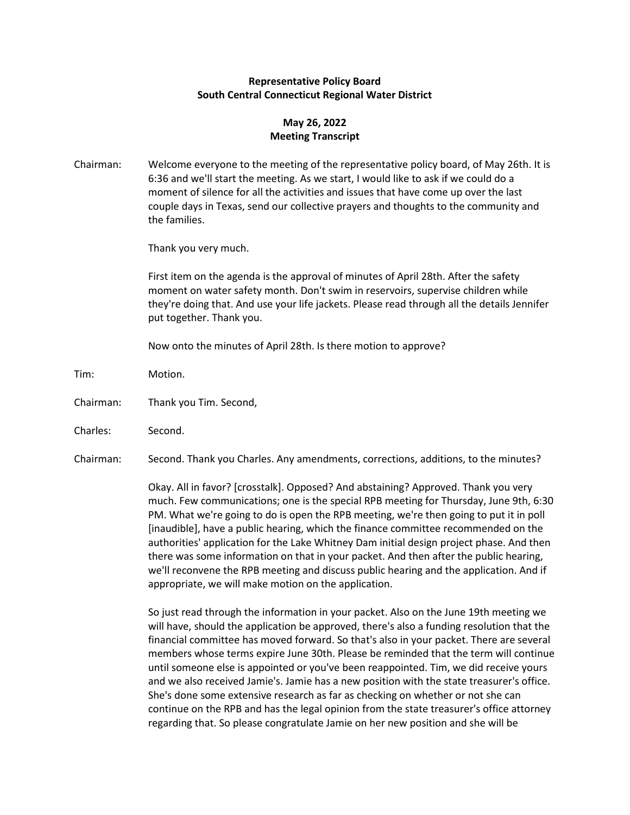## **Representative Policy Board South Central Connecticut Regional Water District**

## **May 26, 2022 Meeting Transcript**

Chairman: Welcome everyone to the meeting of the representative policy board, of May 26th. It is 6:36 and we'll start the meeting. As we start, I would like to ask if we could do a moment of silence for all the activities and issues that have come up over the last couple days in Texas, send our collective prayers and thoughts to the community and the families.

Thank you very much.

First item on the agenda is the approval of minutes of April 28th. After the safety moment on water safety month. Don't swim in reservoirs, supervise children while they're doing that. And use your life jackets. Please read through all the details Jennifer put together. Thank you.

Now onto the minutes of April 28th. Is there motion to approve?

- Tim: Motion.
- Chairman: Thank you Tim. Second,
- Charles: Second.
- Chairman: Second. Thank you Charles. Any amendments, corrections, additions, to the minutes?

Okay. All in favor? [crosstalk]. Opposed? And abstaining? Approved. Thank you very much. Few communications; one is the special RPB meeting for Thursday, June 9th, 6:30 PM. What we're going to do is open the RPB meeting, we're then going to put it in poll [inaudible], have a public hearing, which the finance committee recommended on the authorities' application for the Lake Whitney Dam initial design project phase. And then there was some information on that in your packet. And then after the public hearing, we'll reconvene the RPB meeting and discuss public hearing and the application. And if appropriate, we will make motion on the application.

So just read through the information in your packet. Also on the June 19th meeting we will have, should the application be approved, there's also a funding resolution that the financial committee has moved forward. So that's also in your packet. There are several members whose terms expire June 30th. Please be reminded that the term will continue until someone else is appointed or you've been reappointed. Tim, we did receive yours and we also received Jamie's. Jamie has a new position with the state treasurer's office. She's done some extensive research as far as checking on whether or not she can continue on the RPB and has the legal opinion from the state treasurer's office attorney regarding that. So please congratulate Jamie on her new position and she will be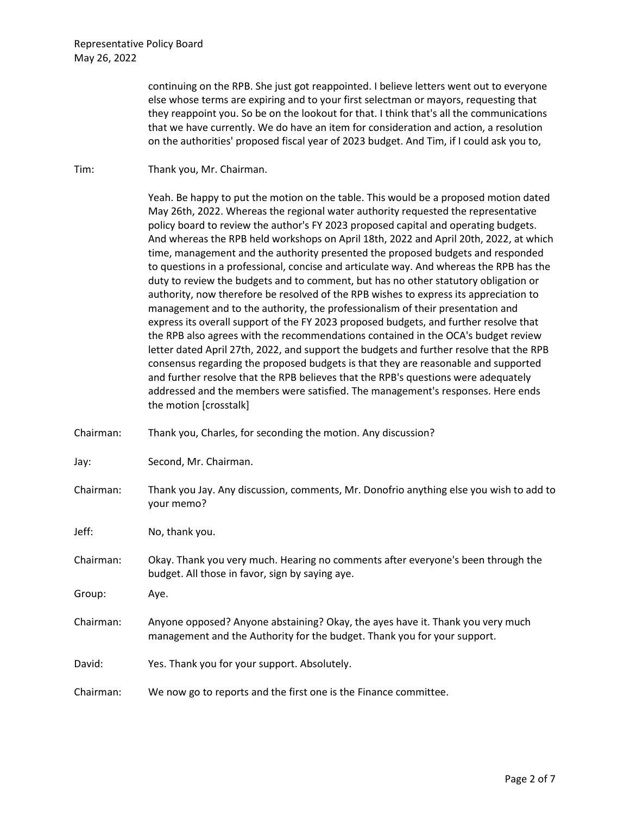continuing on the RPB. She just got reappointed. I believe letters went out to everyone else whose terms are expiring and to your first selectman or mayors, requesting that they reappoint you. So be on the lookout for that. I think that's all the communications that we have currently. We do have an item for consideration and action, a resolution on the authorities' proposed fiscal year of 2023 budget. And Tim, if I could ask you to,

Tim: Thank you, Mr. Chairman.

Yeah. Be happy to put the motion on the table. This would be a proposed motion dated May 26th, 2022. Whereas the regional water authority requested the representative policy board to review the author's FY 2023 proposed capital and operating budgets. And whereas the RPB held workshops on April 18th, 2022 and April 20th, 2022, at which time, management and the authority presented the proposed budgets and responded to questions in a professional, concise and articulate way. And whereas the RPB has the duty to review the budgets and to comment, but has no other statutory obligation or authority, now therefore be resolved of the RPB wishes to express its appreciation to management and to the authority, the professionalism of their presentation and express its overall support of the FY 2023 proposed budgets, and further resolve that the RPB also agrees with the recommendations contained in the OCA's budget review letter dated April 27th, 2022, and support the budgets and further resolve that the RPB consensus regarding the proposed budgets is that they are reasonable and supported and further resolve that the RPB believes that the RPB's questions were adequately addressed and the members were satisfied. The management's responses. Here ends the motion [crosstalk]

- Chairman: Thank you, Charles, for seconding the motion. Any discussion?
- Jay: Second, Mr. Chairman.
- Chairman: Thank you Jay. Any discussion, comments, Mr. Donofrio anything else you wish to add to your memo?

Jeff: No, thank you.

- Chairman: Okay. Thank you very much. Hearing no comments after everyone's been through the budget. All those in favor, sign by saying aye.
- Group: Aye.
- Chairman: Anyone opposed? Anyone abstaining? Okay, the ayes have it. Thank you very much management and the Authority for the budget. Thank you for your support.
- David: Yes. Thank you for your support. Absolutely.
- Chairman: We now go to reports and the first one is the Finance committee.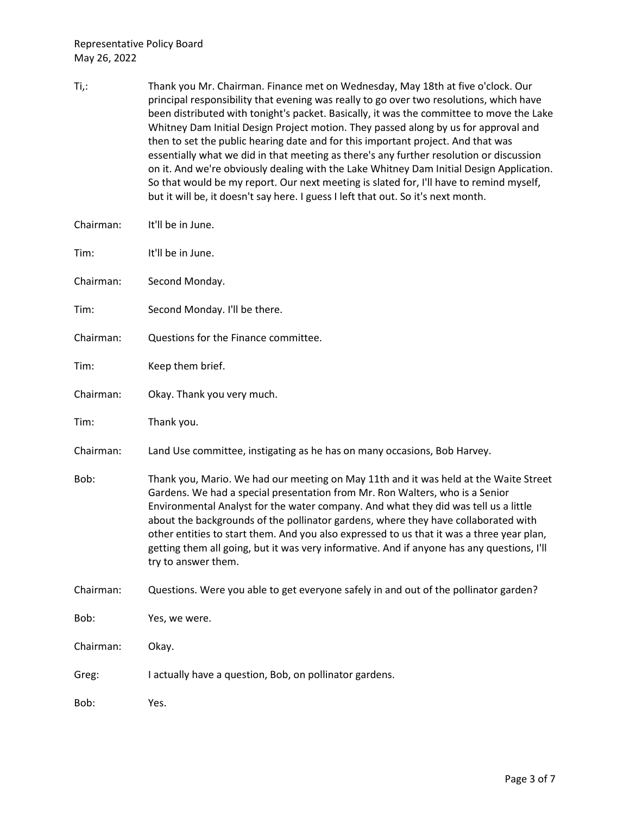| Ti,: | Thank you Mr. Chairman. Finance met on Wednesday, May 18th at five o'clock. Our          |
|------|------------------------------------------------------------------------------------------|
|      | principal responsibility that evening was really to go over two resolutions, which have  |
|      | been distributed with tonight's packet. Basically, it was the committee to move the Lake |
|      | Whitney Dam Initial Design Project motion. They passed along by us for approval and      |
|      | then to set the public hearing date and for this important project. And that was         |
|      | essentially what we did in that meeting as there's any further resolution or discussion  |
|      | on it. And we're obviously dealing with the Lake Whitney Dam Initial Design Application. |
|      | So that would be my report. Our next meeting is slated for, I'll have to remind myself,  |
|      | but it will be, it doesn't say here. I guess I left that out. So it's next month.        |

|           | but it will be, it doesn't say here. I guess I left that out. So it's next month.                                                                                                                                                                                                                                                                                                                                                                                                                                                                                   |
|-----------|---------------------------------------------------------------------------------------------------------------------------------------------------------------------------------------------------------------------------------------------------------------------------------------------------------------------------------------------------------------------------------------------------------------------------------------------------------------------------------------------------------------------------------------------------------------------|
| Chairman: | It'll be in June.                                                                                                                                                                                                                                                                                                                                                                                                                                                                                                                                                   |
| Tim:      | It'll be in June.                                                                                                                                                                                                                                                                                                                                                                                                                                                                                                                                                   |
| Chairman: | Second Monday.                                                                                                                                                                                                                                                                                                                                                                                                                                                                                                                                                      |
| Tim:      | Second Monday. I'll be there.                                                                                                                                                                                                                                                                                                                                                                                                                                                                                                                                       |
| Chairman: | Questions for the Finance committee.                                                                                                                                                                                                                                                                                                                                                                                                                                                                                                                                |
| Tim:      | Keep them brief.                                                                                                                                                                                                                                                                                                                                                                                                                                                                                                                                                    |
| Chairman: | Okay. Thank you very much.                                                                                                                                                                                                                                                                                                                                                                                                                                                                                                                                          |
| Tim:      | Thank you.                                                                                                                                                                                                                                                                                                                                                                                                                                                                                                                                                          |
| Chairman: | Land Use committee, instigating as he has on many occasions, Bob Harvey.                                                                                                                                                                                                                                                                                                                                                                                                                                                                                            |
| Bob:      | Thank you, Mario. We had our meeting on May 11th and it was held at the Waite Street<br>Gardens. We had a special presentation from Mr. Ron Walters, who is a Senior<br>Environmental Analyst for the water company. And what they did was tell us a little<br>about the backgrounds of the pollinator gardens, where they have collaborated with<br>other entities to start them. And you also expressed to us that it was a three year plan,<br>getting them all going, but it was very informative. And if anyone has any questions, I'll<br>try to answer them. |
| Chairman: | Questions. Were you able to get everyone safely in and out of the pollinator garden?                                                                                                                                                                                                                                                                                                                                                                                                                                                                                |
| Bob:      | Yes, we were.                                                                                                                                                                                                                                                                                                                                                                                                                                                                                                                                                       |
| Chairman: | Okay.                                                                                                                                                                                                                                                                                                                                                                                                                                                                                                                                                               |
| Greg:     | I actually have a question, Bob, on pollinator gardens.                                                                                                                                                                                                                                                                                                                                                                                                                                                                                                             |
| Bob:      | Yes.                                                                                                                                                                                                                                                                                                                                                                                                                                                                                                                                                                |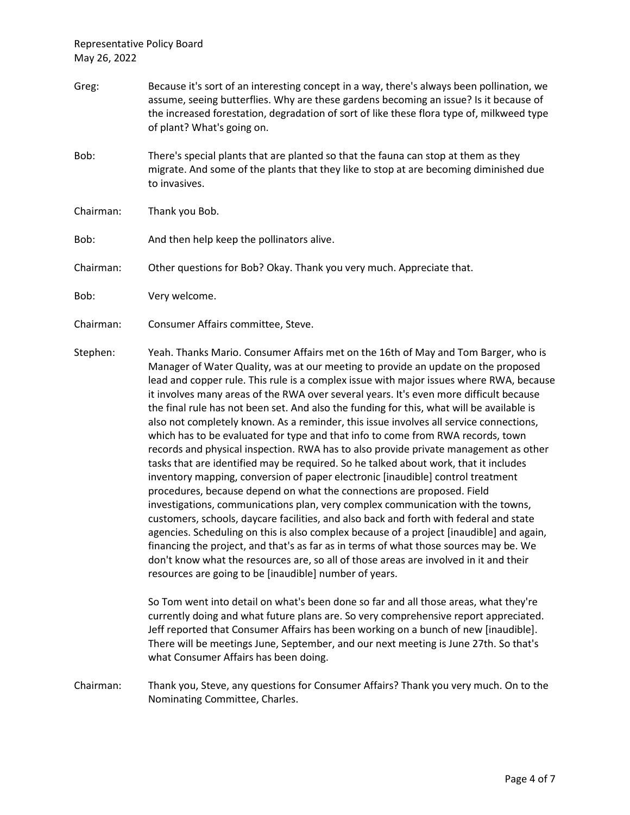Representative Policy Board May 26, 2022

- Greg: Because it's sort of an interesting concept in a way, there's always been pollination, we assume, seeing butterflies. Why are these gardens becoming an issue? Is it because of the increased forestation, degradation of sort of like these flora type of, milkweed type of plant? What's going on.
- Bob: There's special plants that are planted so that the fauna can stop at them as they migrate. And some of the plants that they like to stop at are becoming diminished due to invasives.
- Chairman: Thank you Bob.
- Bob: And then help keep the pollinators alive.
- Chairman: Other questions for Bob? Okay. Thank you very much. Appreciate that.
- Bob: Very welcome.
- Chairman: Consumer Affairs committee, Steve.

Stephen: Yeah. Thanks Mario. Consumer Affairs met on the 16th of May and Tom Barger, who is Manager of Water Quality, was at our meeting to provide an update on the proposed lead and copper rule. This rule is a complex issue with major issues where RWA, because it involves many areas of the RWA over several years. It's even more difficult because the final rule has not been set. And also the funding for this, what will be available is also not completely known. As a reminder, this issue involves all service connections, which has to be evaluated for type and that info to come from RWA records, town records and physical inspection. RWA has to also provide private management as other tasks that are identified may be required. So he talked about work, that it includes inventory mapping, conversion of paper electronic [inaudible] control treatment procedures, because depend on what the connections are proposed. Field investigations, communications plan, very complex communication with the towns, customers, schools, daycare facilities, and also back and forth with federal and state agencies. Scheduling on this is also complex because of a project [inaudible] and again, financing the project, and that's as far as in terms of what those sources may be. We don't know what the resources are, so all of those areas are involved in it and their resources are going to be [inaudible] number of years.

> So Tom went into detail on what's been done so far and all those areas, what they're currently doing and what future plans are. So very comprehensive report appreciated. Jeff reported that Consumer Affairs has been working on a bunch of new [inaudible]. There will be meetings June, September, and our next meeting is June 27th. So that's what Consumer Affairs has been doing.

Chairman: Thank you, Steve, any questions for Consumer Affairs? Thank you very much. On to the Nominating Committee, Charles.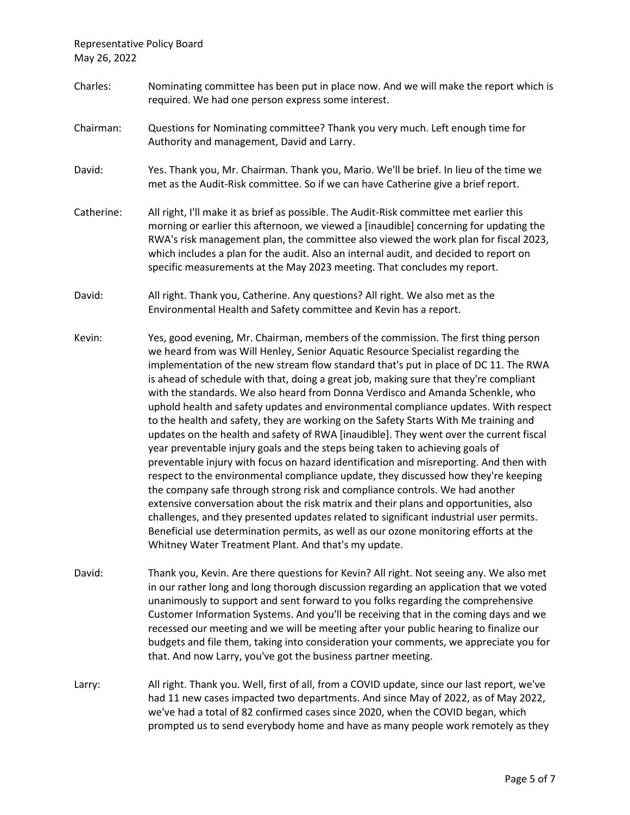Representative Policy Board May 26, 2022

- Charles: Nominating committee has been put in place now. And we will make the report which is required. We had one person express some interest.
- Chairman: Questions for Nominating committee? Thank you very much. Left enough time for Authority and management, David and Larry.
- David: Yes. Thank you, Mr. Chairman. Thank you, Mario. We'll be brief. In lieu of the time we met as the Audit-Risk committee. So if we can have Catherine give a brief report.
- Catherine: All right, I'll make it as brief as possible. The Audit-Risk committee met earlier this morning or earlier this afternoon, we viewed a [inaudible] concerning for updating the RWA's risk management plan, the committee also viewed the work plan for fiscal 2023, which includes a plan for the audit. Also an internal audit, and decided to report on specific measurements at the May 2023 meeting. That concludes my report.
- David: All right. Thank you, Catherine. Any questions? All right. We also met as the Environmental Health and Safety committee and Kevin has a report.
- Kevin: Yes, good evening, Mr. Chairman, members of the commission. The first thing person we heard from was Will Henley, Senior Aquatic Resource Specialist regarding the implementation of the new stream flow standard that's put in place of DC 11. The RWA is ahead of schedule with that, doing a great job, making sure that they're compliant with the standards. We also heard from Donna Verdisco and Amanda Schenkle, who uphold health and safety updates and environmental compliance updates. With respect to the health and safety, they are working on the Safety Starts With Me training and updates on the health and safety of RWA [inaudible]. They went over the current fiscal year preventable injury goals and the steps being taken to achieving goals of preventable injury with focus on hazard identification and misreporting. And then with respect to the environmental compliance update, they discussed how they're keeping the company safe through strong risk and compliance controls. We had another extensive conversation about the risk matrix and their plans and opportunities, also challenges, and they presented updates related to significant industrial user permits. Beneficial use determination permits, as well as our ozone monitoring efforts at the Whitney Water Treatment Plant. And that's my update.
- David: Thank you, Kevin. Are there questions for Kevin? All right. Not seeing any. We also met in our rather long and long thorough discussion regarding an application that we voted unanimously to support and sent forward to you folks regarding the comprehensive Customer Information Systems. And you'll be receiving that in the coming days and we recessed our meeting and we will be meeting after your public hearing to finalize our budgets and file them, taking into consideration your comments, we appreciate you for that. And now Larry, you've got the business partner meeting.
- Larry: All right. Thank you. Well, first of all, from a COVID update, since our last report, we've had 11 new cases impacted two departments. And since May of 2022, as of May 2022, we've had a total of 82 confirmed cases since 2020, when the COVID began, which prompted us to send everybody home and have as many people work remotely as they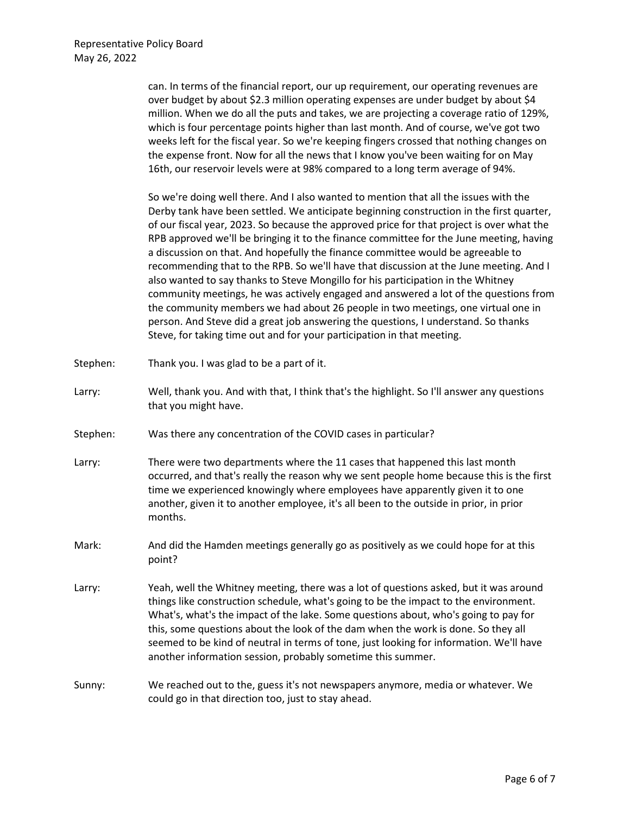can. In terms of the financial report, our up requirement, our operating revenues are over budget by about \$2.3 million operating expenses are under budget by about \$4 million. When we do all the puts and takes, we are projecting a coverage ratio of 129%, which is four percentage points higher than last month. And of course, we've got two weeks left for the fiscal year. So we're keeping fingers crossed that nothing changes on the expense front. Now for all the news that I know you've been waiting for on May 16th, our reservoir levels were at 98% compared to a long term average of 94%.

So we're doing well there. And I also wanted to mention that all the issues with the Derby tank have been settled. We anticipate beginning construction in the first quarter, of our fiscal year, 2023. So because the approved price for that project is over what the RPB approved we'll be bringing it to the finance committee for the June meeting, having a discussion on that. And hopefully the finance committee would be agreeable to recommending that to the RPB. So we'll have that discussion at the June meeting. And I also wanted to say thanks to Steve Mongillo for his participation in the Whitney community meetings, he was actively engaged and answered a lot of the questions from the community members we had about 26 people in two meetings, one virtual one in person. And Steve did a great job answering the questions, I understand. So thanks Steve, for taking time out and for your participation in that meeting.

- Stephen: Thank you. I was glad to be a part of it.
- Larry: Well, thank you. And with that, I think that's the highlight. So I'll answer any questions that you might have.
- Stephen: Was there any concentration of the COVID cases in particular?
- Larry: There were two departments where the 11 cases that happened this last month occurred, and that's really the reason why we sent people home because this is the first time we experienced knowingly where employees have apparently given it to one another, given it to another employee, it's all been to the outside in prior, in prior months.
- Mark: And did the Hamden meetings generally go as positively as we could hope for at this point?
- Larry: Yeah, well the Whitney meeting, there was a lot of questions asked, but it was around things like construction schedule, what's going to be the impact to the environment. What's, what's the impact of the lake. Some questions about, who's going to pay for this, some questions about the look of the dam when the work is done. So they all seemed to be kind of neutral in terms of tone, just looking for information. We'll have another information session, probably sometime this summer.

## Sunny: We reached out to the, guess it's not newspapers anymore, media or whatever. We could go in that direction too, just to stay ahead.